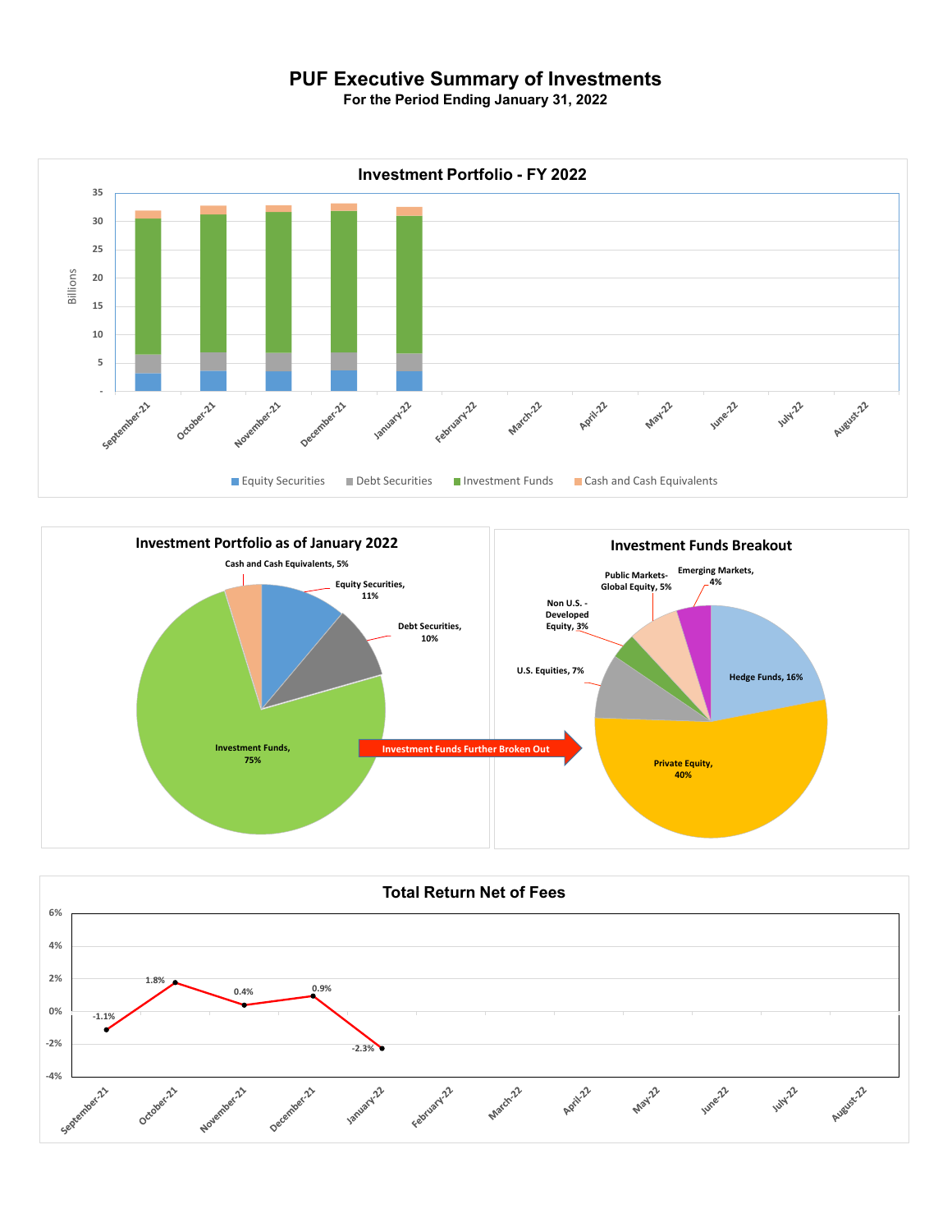## **PUF Executive Summary of Investments**

**For the Period Ending January 31, 2022**